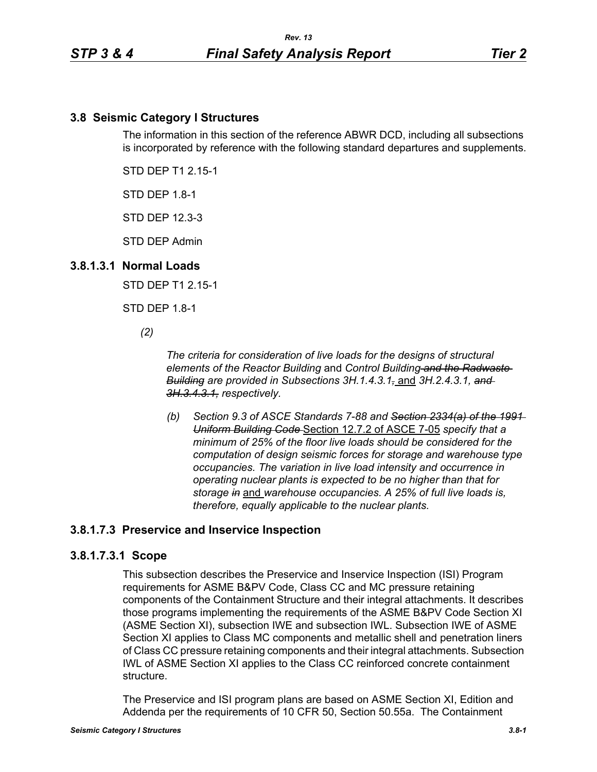# **3.8 Seismic Category I Structures**

The information in this section of the reference ABWR DCD, including all subsections is incorporated by reference with the following standard departures and supplements.

STD DEP T1 2.15-1

STD DEP 1.8-1

STD DEP 12.3-3

STD DEP Admin

#### **3.8.1.3.1 Normal Loads**

STD DEP T1 2.15-1

STD DEP 1.8-1

*(2)*

*The criteria for consideration of live loads for the designs of structural elements of the Reactor Building* and *Control Building and the Radwaste Building are provided in Subsections 3H.1.4.3.1,* and *3H.2.4.3.1, and 3H.3.4.3.1, respectively.*

*(b) Section 9.3 of ASCE Standards 7-88 and Section 2334(a) of the 1991 Uniform Building Code* Section 12.7.2 of ASCE 7-05 *specify that a minimum of 25% of the floor live loads should be considered for the computation of design seismic forces for storage and warehouse type occupancies. The variation in live load intensity and occurrence in operating nuclear plants is expected to be no higher than that for storage in* and *warehouse occupancies. A 25% of full live loads is, therefore, equally applicable to the nuclear plants.*

### **3.8.1.7.3 Preservice and Inservice Inspection**

#### **3.8.1.7.3.1 Scope**

This subsection describes the Preservice and Inservice Inspection (ISI) Program requirements for ASME B&PV Code, Class CC and MC pressure retaining components of the Containment Structure and their integral attachments. It describes those programs implementing the requirements of the ASME B&PV Code Section XI (ASME Section XI), subsection IWE and subsection IWL. Subsection IWE of ASME Section XI applies to Class MC components and metallic shell and penetration liners of Class CC pressure retaining components and their integral attachments. Subsection IWL of ASME Section XI applies to the Class CC reinforced concrete containment structure.

The Preservice and ISI program plans are based on ASME Section XI, Edition and Addenda per the requirements of 10 CFR 50, Section 50.55a. The Containment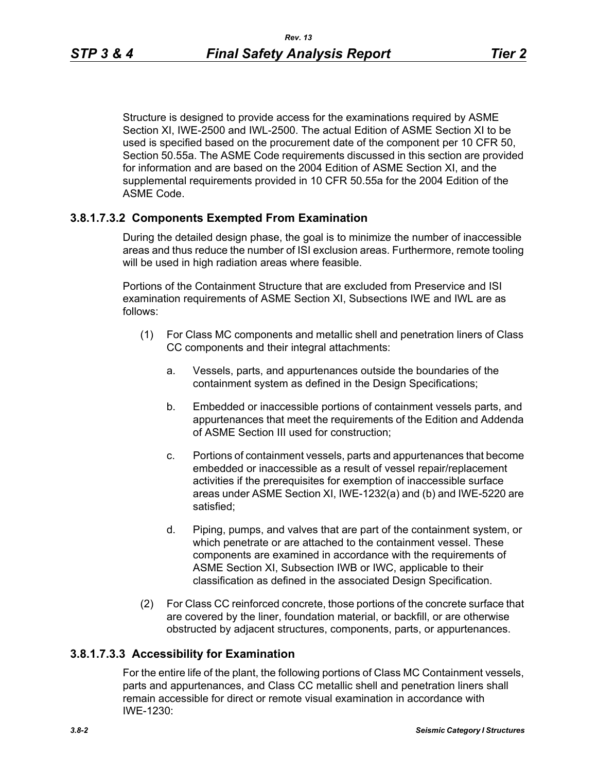Structure is designed to provide access for the examinations required by ASME Section XI, IWE-2500 and IWL-2500. The actual Edition of ASME Section XI to be used is specified based on the procurement date of the component per 10 CFR 50, Section 50.55a. The ASME Code requirements discussed in this section are provided for information and are based on the 2004 Edition of ASME Section XI, and the supplemental requirements provided in 10 CFR 50.55a for the 2004 Edition of the

### **3.8.1.7.3.2 Components Exempted From Examination**

ASME Code.

During the detailed design phase, the goal is to minimize the number of inaccessible areas and thus reduce the number of ISI exclusion areas. Furthermore, remote tooling will be used in high radiation areas where feasible.

Portions of the Containment Structure that are excluded from Preservice and ISI examination requirements of ASME Section XI, Subsections IWE and IWL are as follows:

- (1) For Class MC components and metallic shell and penetration liners of Class CC components and their integral attachments:
	- a. Vessels, parts, and appurtenances outside the boundaries of the containment system as defined in the Design Specifications;
	- b. Embedded or inaccessible portions of containment vessels parts, and appurtenances that meet the requirements of the Edition and Addenda of ASME Section III used for construction;
	- c. Portions of containment vessels, parts and appurtenances that become embedded or inaccessible as a result of vessel repair/replacement activities if the prerequisites for exemption of inaccessible surface areas under ASME Section XI, IWE-1232(a) and (b) and IWE-5220 are satisfied;
	- d. Piping, pumps, and valves that are part of the containment system, or which penetrate or are attached to the containment vessel. These components are examined in accordance with the requirements of ASME Section XI, Subsection IWB or IWC, applicable to their classification as defined in the associated Design Specification.
- (2) For Class CC reinforced concrete, those portions of the concrete surface that are covered by the liner, foundation material, or backfill, or are otherwise obstructed by adjacent structures, components, parts, or appurtenances.

### **3.8.1.7.3.3 Accessibility for Examination**

For the entire life of the plant, the following portions of Class MC Containment vessels, parts and appurtenances, and Class CC metallic shell and penetration liners shall remain accessible for direct or remote visual examination in accordance with IWE-1230: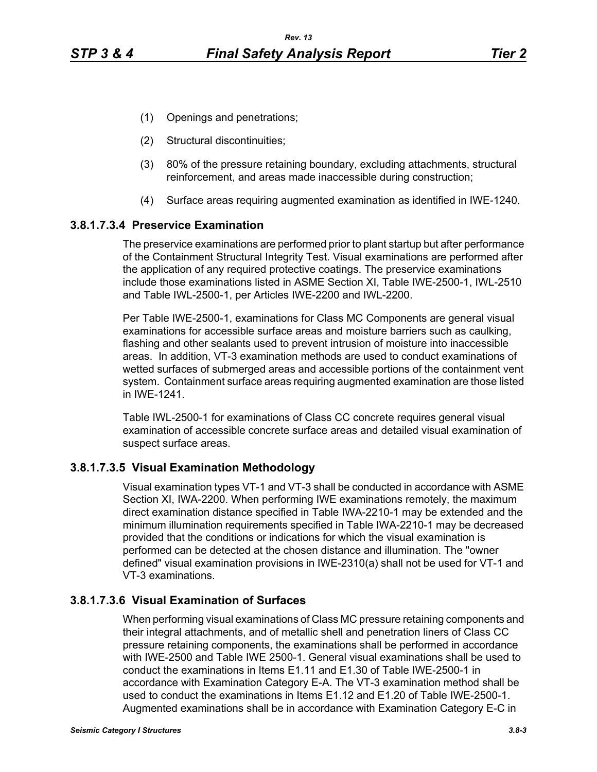- (1) Openings and penetrations;
- (2) Structural discontinuities;
- (3) 80% of the pressure retaining boundary, excluding attachments, structural reinforcement, and areas made inaccessible during construction;
- (4) Surface areas requiring augmented examination as identified in IWE-1240.

#### **3.8.1.7.3.4 Preservice Examination**

The preservice examinations are performed prior to plant startup but after performance of the Containment Structural Integrity Test. Visual examinations are performed after the application of any required protective coatings. The preservice examinations include those examinations listed in ASME Section XI, Table IWE-2500-1, IWL-2510 and Table IWL-2500-1, per Articles IWE-2200 and IWL-2200.

Per Table IWE-2500-1, examinations for Class MC Components are general visual examinations for accessible surface areas and moisture barriers such as caulking, flashing and other sealants used to prevent intrusion of moisture into inaccessible areas. In addition, VT-3 examination methods are used to conduct examinations of wetted surfaces of submerged areas and accessible portions of the containment vent system. Containment surface areas requiring augmented examination are those listed in IWE-1241.

Table IWL-2500-1 for examinations of Class CC concrete requires general visual examination of accessible concrete surface areas and detailed visual examination of suspect surface areas.

### **3.8.1.7.3.5 Visual Examination Methodology**

Visual examination types VT-1 and VT-3 shall be conducted in accordance with ASME Section XI, IWA-2200. When performing IWE examinations remotely, the maximum direct examination distance specified in Table IWA-2210-1 may be extended and the minimum illumination requirements specified in Table IWA-2210-1 may be decreased provided that the conditions or indications for which the visual examination is performed can be detected at the chosen distance and illumination. The "owner defined" visual examination provisions in IWE-2310(a) shall not be used for VT-1 and VT-3 examinations.

### **3.8.1.7.3.6 Visual Examination of Surfaces**

When performing visual examinations of Class MC pressure retaining components and their integral attachments, and of metallic shell and penetration liners of Class CC pressure retaining components, the examinations shall be performed in accordance with IWE-2500 and Table IWE 2500-1. General visual examinations shall be used to conduct the examinations in Items E1.11 and E1.30 of Table IWE-2500-1 in accordance with Examination Category E-A. The VT-3 examination method shall be used to conduct the examinations in Items E1.12 and E1.20 of Table IWE-2500-1. Augmented examinations shall be in accordance with Examination Category E-C in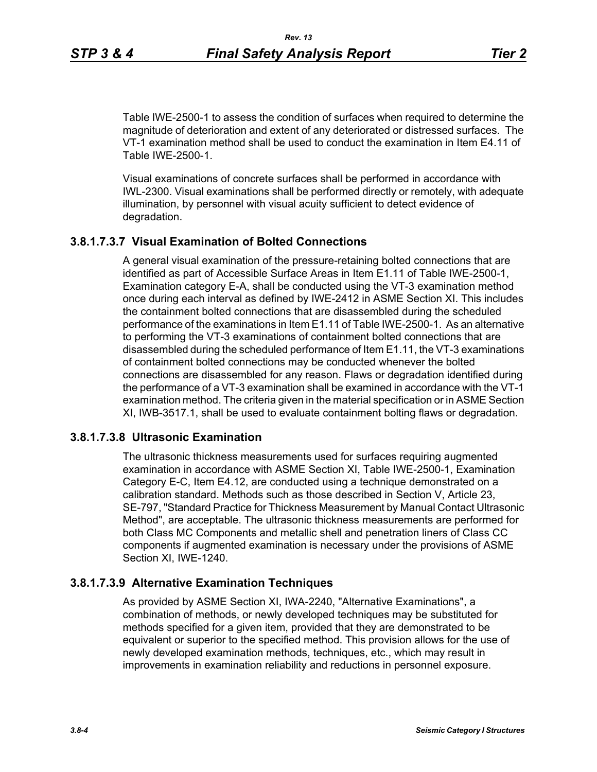Table IWE-2500-1 to assess the condition of surfaces when required to determine the magnitude of deterioration and extent of any deteriorated or distressed surfaces. The VT-1 examination method shall be used to conduct the examination in Item E4.11 of Table IWE-2500-1.

Visual examinations of concrete surfaces shall be performed in accordance with IWL-2300. Visual examinations shall be performed directly or remotely, with adequate illumination, by personnel with visual acuity sufficient to detect evidence of degradation.

# **3.8.1.7.3.7 Visual Examination of Bolted Connections**

A general visual examination of the pressure-retaining bolted connections that are identified as part of Accessible Surface Areas in Item E1.11 of Table IWE-2500-1, Examination category E-A, shall be conducted using the VT-3 examination method once during each interval as defined by IWE-2412 in ASME Section XI. This includes the containment bolted connections that are disassembled during the scheduled performance of the examinations in Item E1.11 of Table IWE-2500-1. As an alternative to performing the VT-3 examinations of containment bolted connections that are disassembled during the scheduled performance of Item E1.11, the VT-3 examinations of containment bolted connections may be conducted whenever the bolted connections are disassembled for any reason. Flaws or degradation identified during the performance of a VT-3 examination shall be examined in accordance with the VT-1 examination method. The criteria given in the material specification or in ASME Section XI, IWB-3517.1, shall be used to evaluate containment bolting flaws or degradation.

### **3.8.1.7.3.8 Ultrasonic Examination**

The ultrasonic thickness measurements used for surfaces requiring augmented examination in accordance with ASME Section XI, Table IWE-2500-1, Examination Category E-C, Item E4.12, are conducted using a technique demonstrated on a calibration standard. Methods such as those described in Section V, Article 23, SE-797, "Standard Practice for Thickness Measurement by Manual Contact Ultrasonic Method", are acceptable. The ultrasonic thickness measurements are performed for both Class MC Components and metallic shell and penetration liners of Class CC components if augmented examination is necessary under the provisions of ASME Section XI, IWE-1240.

### **3.8.1.7.3.9 Alternative Examination Techniques**

As provided by ASME Section XI, IWA-2240, "Alternative Examinations", a combination of methods, or newly developed techniques may be substituted for methods specified for a given item, provided that they are demonstrated to be equivalent or superior to the specified method. This provision allows for the use of newly developed examination methods, techniques, etc., which may result in improvements in examination reliability and reductions in personnel exposure.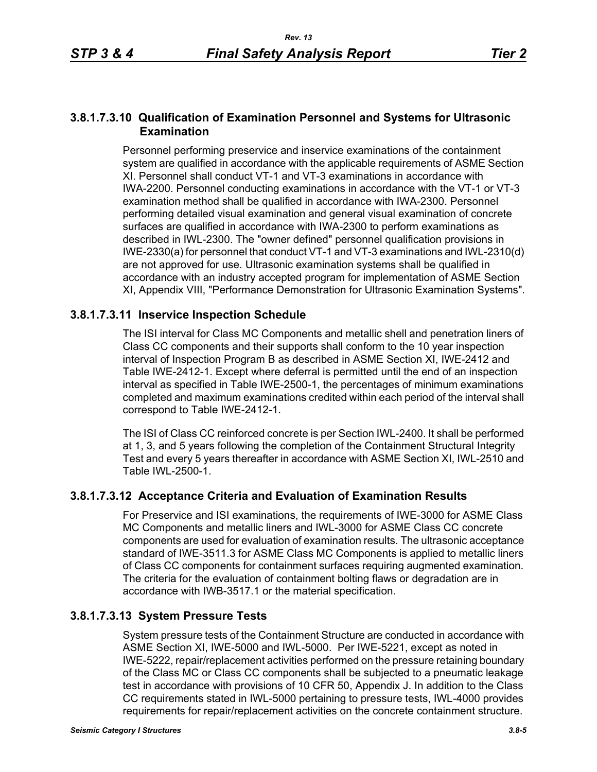### **3.8.1.7.3.10 Qualification of Examination Personnel and Systems for Ultrasonic Examination**

Personnel performing preservice and inservice examinations of the containment system are qualified in accordance with the applicable requirements of ASME Section XI. Personnel shall conduct VT-1 and VT-3 examinations in accordance with IWA-2200. Personnel conducting examinations in accordance with the VT-1 or VT-3 examination method shall be qualified in accordance with IWA-2300. Personnel performing detailed visual examination and general visual examination of concrete surfaces are qualified in accordance with IWA-2300 to perform examinations as described in IWL-2300. The "owner defined" personnel qualification provisions in IWE-2330(a) for personnel that conduct VT-1 and VT-3 examinations and IWL-2310(d) are not approved for use. Ultrasonic examination systems shall be qualified in accordance with an industry accepted program for implementation of ASME Section XI, Appendix VIII, "Performance Demonstration for Ultrasonic Examination Systems".

# **3.8.1.7.3.11 Inservice Inspection Schedule**

The ISI interval for Class MC Components and metallic shell and penetration liners of Class CC components and their supports shall conform to the 10 year inspection interval of Inspection Program B as described in ASME Section XI, IWE-2412 and Table IWE-2412-1. Except where deferral is permitted until the end of an inspection interval as specified in Table IWE-2500-1, the percentages of minimum examinations completed and maximum examinations credited within each period of the interval shall correspond to Table IWE-2412-1.

The ISI of Class CC reinforced concrete is per Section IWL-2400. It shall be performed at 1, 3, and 5 years following the completion of the Containment Structural Integrity Test and every 5 years thereafter in accordance with ASME Section XI, IWL-2510 and Table IWL-2500-1.

# **3.8.1.7.3.12 Acceptance Criteria and Evaluation of Examination Results**

For Preservice and ISI examinations, the requirements of IWE-3000 for ASME Class MC Components and metallic liners and IWL-3000 for ASME Class CC concrete components are used for evaluation of examination results. The ultrasonic acceptance standard of IWE-3511.3 for ASME Class MC Components is applied to metallic liners of Class CC components for containment surfaces requiring augmented examination. The criteria for the evaluation of containment bolting flaws or degradation are in accordance with IWB-3517.1 or the material specification.

# **3.8.1.7.3.13 System Pressure Tests**

System pressure tests of the Containment Structure are conducted in accordance with ASME Section XI, IWE-5000 and IWL-5000. Per IWE-5221, except as noted in IWE-5222, repair/replacement activities performed on the pressure retaining boundary of the Class MC or Class CC components shall be subjected to a pneumatic leakage test in accordance with provisions of 10 CFR 50, Appendix J. In addition to the Class CC requirements stated in IWL-5000 pertaining to pressure tests, IWL-4000 provides requirements for repair/replacement activities on the concrete containment structure.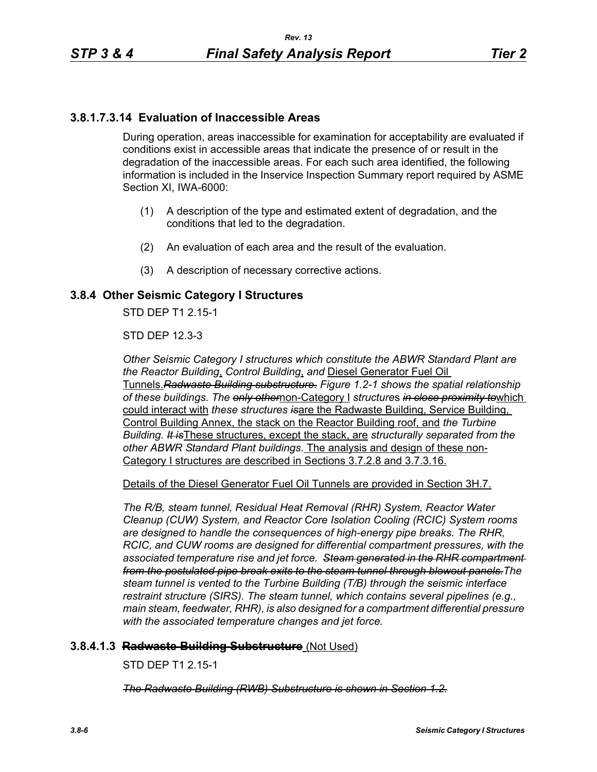# **3.8.1.7.3.14 Evaluation of Inaccessible Areas**

During operation, areas inaccessible for examination for acceptability are evaluated if conditions exist in accessible areas that indicate the presence of or result in the degradation of the inaccessible areas. For each such area identified, the following information is included in the Inservice Inspection Summary report required by ASME Section XI, IWA-6000:

- (1) A description of the type and estimated extent of degradation, and the conditions that led to the degradation.
- (2) An evaluation of each area and the result of the evaluation.
- (3) A description of necessary corrective actions.

# **3.8.4 Other Seismic Category I Structures**

STD DEP T1 2 15-1

STD DEP 12.3-3

*Other Seismic Category I structures which constitute the ABWR Standard Plant are the Reactor Building*, *Control Building*, *and* Diesel Generator Fuel Oil Tunnels.*Radwaste Building substructure. Figure 1.2-1 shows the spatial relationship of these buildings. The only other*non-Category I *structure*s *in close proximity to*which could interact with *these structures is*are the Radwaste Building, Service Building, Control Building Annex, the stack on the Reactor Building roof, and *the Turbine Building. It is*These structures, except the stack, are *structurally separated from the other ABWR Standard Plant buildings.* The analysis and design of these non-Category I structures are described in Sections 3.7.2.8 and 3.7.3.16.

Details of the Diesel Generator Fuel Oil Tunnels are provided in Section 3H.7.

*The R/B, steam tunnel, Residual Heat Removal (RHR) System, Reactor Water Cleanup (CUW) System, and Reactor Core Isolation Cooling (RCIC) System rooms are designed to handle the consequences of high-energy pipe breaks. The RHR, RCIC, and CUW rooms are designed for differential compartment pressures, with the associated temperature rise and jet force. Steam generated in the RHR compartment from the postulated pipe break exits to the steam tunnel through blowout panels.The steam tunnel is vented to the Turbine Building (T/B) through the seismic interface restraint structure (SIRS). The steam tunnel, which contains several pipelines (e.g., main steam, feedwater, RHR), is also designed for a compartment differential pressure with the associated temperature changes and jet force.*

### **3.8.4.1.3 Radwaste Building Substructure** (Not Used)

STD DEP T1 2.15-1

*The Radwaste Building (RWB) Substructure is shown in Section 1.2.*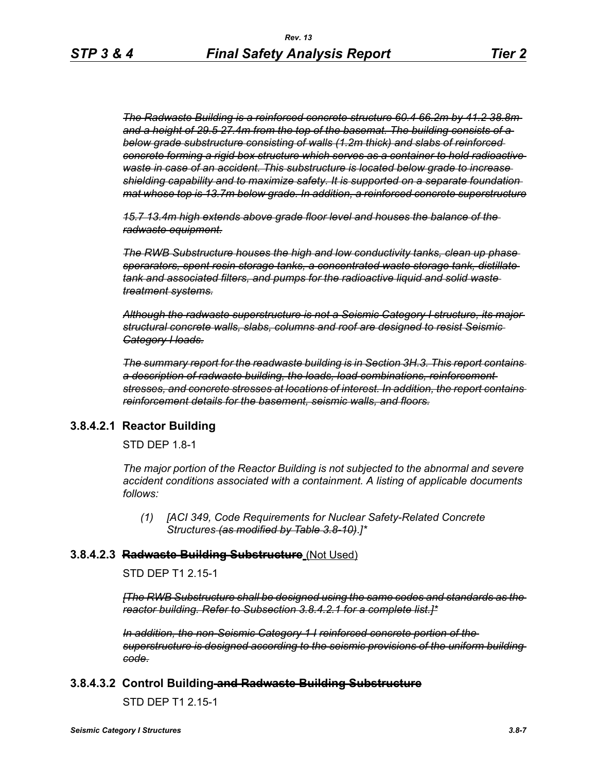*The Radwaste Building is a reinforced concrete structure 60.4 66.2m by 41.2 38.8m and a height of 29.5 27.4m from the top of the basemat. The building consists of a below grade substructure consisting of walls (1.2m thick) and slabs of reinforced concrete forming a rigid box structure which serves as a container to hold radioactive waste in case of an accident. This substructure is located below grade to increase shielding capability and to maximize safety. It is supported on a separate foundation mat whose top is 13.7m below grade. In addition, a reinforced concrete superstructure*

*15.7 13.4m high extends above grade floor level and houses the balance of the radwaste equipment.*

*The RWB Substructure houses the high and low conductivity tanks, clean up phase sperarators, spent resin storage tanks, a concentrated waste storage tank, distillate tank and associated filters, and pumps for the radioactive liquid and solid waste treatment systems.*

*Although the radwaste superstructure is not a Seismic Category I structure, its major structural concrete walls, slabs, columns and roof are designed to resist Seismic Category I loads.*

*The summary report for the readwaste building is in Section 3H.3. This report contains a description of radwaste building, the loads, load combinations, reinforcement stresses, and concrete stresses at locations of interest. In addition, the report contains reinforcement details for the basement, seismic walls, and floors.*

### **3.8.4.2.1 Reactor Building**

STD DEP 1.8-1

*The major portion of the Reactor Building is not subjected to the abnormal and severe accident conditions associated with a containment. A listing of applicable documents follows:*

*(1) [ACI 349, Code Requirements for Nuclear Safety-Related Concrete Structures (as modified by Table 3.8-10)*.*]\**

#### **3.8.4.2.3 Radwaste Building Substructure** (Not Used)

STD DEP T1 2.15-1

*[The RWB Substructure shall be designed using the same codes and standards as the reactor building. Refer to Subsection 3.8.4.2.1 for a complete list.]\**

*In addition, the non-Seismic Category 1 I reinforced concrete portion of the superstructure is designed according to the seismic provisions of the uniform building code.*

#### **3.8.4.3.2 Control Building and Radwaste Building Substructure**

STD DEP T1 2.15-1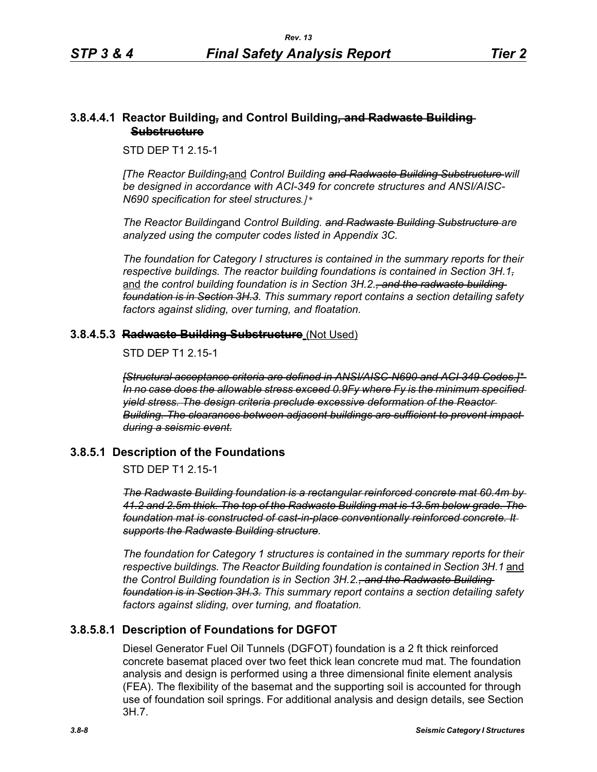### **3.8.4.4.1 Reactor Building***,* **and Control Building***,* **and Radwaste Building Substructure**

STD DEP T1 2.15-1

*[The Reactor Building,*and *Control Building and Radwaste Building Substructure will be designed in accordance with ACI-349 for concrete structures and ANSI/AISC-N690 specification for steel structures.]\** 

*The Reactor Building*and *Control Building. and Radwaste Building Substructure are analyzed using the computer codes listed in Appendix 3C.* 

*The foundation for Category I structures is contained in the summary reports for their respective buildings. The reactor building foundations is contained in Section 3H.1,* and the control building foundation is in Section 3H.2.<del>, and the radwaste building</del> *foundation is in Section 3H.3. This summary report contains a section detailing safety factors against sliding, over turning, and floatation.*

### **3.8.4.5.3 Radwaste Building Substructure** (Not Used)

STD DEP T1 2 15-1

*[Structural acceptance criteria are defined in ANSI/AISC-N690 and ACI 349 Codes.]\* In no case does the allowable stress exceed 0.9Fy where Fy is the minimum specified yield stress. The design criteria preclude excessive deformation of the Reactor Building. The clearances between adjacent buildings are sufficient to prevent impact during a seismic event.*

# **3.8.5.1 Description of the Foundations**

STD DEP T1 2.15-1

*The Radwaste Building foundation is a rectangular reinforced concrete mat 60.4m by 41.2 and 2.5m thick. The top of the Radwaste Building mat is 13.5m below grade. The foundation mat is constructed of cast-in-place conventionally reinforced concrete. It supports the Radwaste Building structure.*

*The foundation for Category 1 structures is contained in the summary reports for their respective buildings. The Reactor Building foundation is contained in Section 3H.1* and *the Control Building foundation is in Section 3H.2., and the Radwaste Building foundation is in Section 3H.3. This summary report contains a section detailing safety factors against sliding, over turning, and floatation.*

# **3.8.5.8.1 Description of Foundations for DGFOT**

Diesel Generator Fuel Oil Tunnels (DGFOT) foundation is a 2 ft thick reinforced concrete basemat placed over two feet thick lean concrete mud mat. The foundation analysis and design is performed using a three dimensional finite element analysis (FEA). The flexibility of the basemat and the supporting soil is accounted for through use of foundation soil springs. For additional analysis and design details, see Section 3H.7.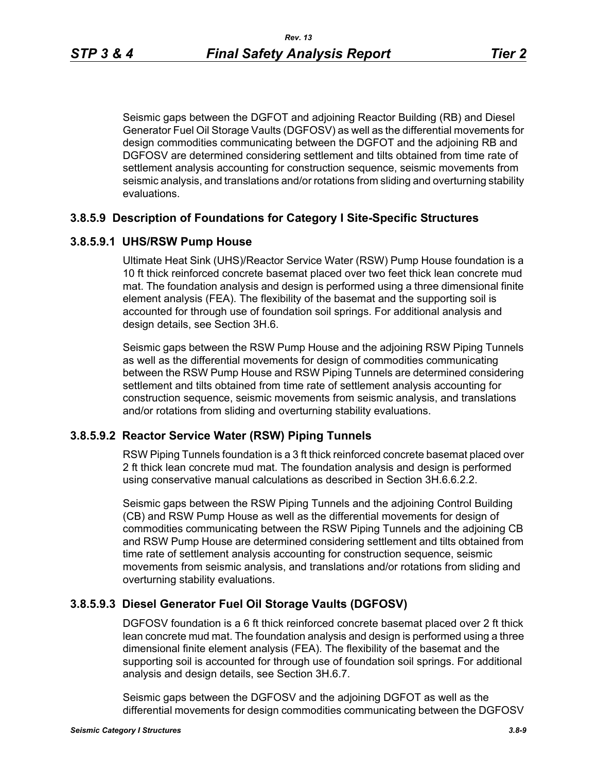Seismic gaps between the DGFOT and adjoining Reactor Building (RB) and Diesel Generator Fuel Oil Storage Vaults (DGFOSV) as well as the differential movements for design commodities communicating between the DGFOT and the adjoining RB and DGFOSV are determined considering settlement and tilts obtained from time rate of settlement analysis accounting for construction sequence, seismic movements from seismic analysis, and translations and/or rotations from sliding and overturning stability evaluations.

#### **3.8.5.9 Description of Foundations for Category I Site-Specific Structures**

### **3.8.5.9.1 UHS/RSW Pump House**

Ultimate Heat Sink (UHS)/Reactor Service Water (RSW) Pump House foundation is a 10 ft thick reinforced concrete basemat placed over two feet thick lean concrete mud mat. The foundation analysis and design is performed using a three dimensional finite element analysis (FEA). The flexibility of the basemat and the supporting soil is accounted for through use of foundation soil springs. For additional analysis and design details, see Section 3H.6.

Seismic gaps between the RSW Pump House and the adjoining RSW Piping Tunnels as well as the differential movements for design of commodities communicating between the RSW Pump House and RSW Piping Tunnels are determined considering settlement and tilts obtained from time rate of settlement analysis accounting for construction sequence, seismic movements from seismic analysis, and translations and/or rotations from sliding and overturning stability evaluations.

#### **3.8.5.9.2 Reactor Service Water (RSW) Piping Tunnels**

RSW Piping Tunnels foundation is a 3 ft thick reinforced concrete basemat placed over 2 ft thick lean concrete mud mat. The foundation analysis and design is performed using conservative manual calculations as described in Section 3H.6.6.2.2.

Seismic gaps between the RSW Piping Tunnels and the adjoining Control Building (CB) and RSW Pump House as well as the differential movements for design of commodities communicating between the RSW Piping Tunnels and the adjoining CB and RSW Pump House are determined considering settlement and tilts obtained from time rate of settlement analysis accounting for construction sequence, seismic movements from seismic analysis, and translations and/or rotations from sliding and overturning stability evaluations.

#### **3.8.5.9.3 Diesel Generator Fuel Oil Storage Vaults (DGFOSV)**

DGFOSV foundation is a 6 ft thick reinforced concrete basemat placed over 2 ft thick lean concrete mud mat. The foundation analysis and design is performed using a three dimensional finite element analysis (FEA). The flexibility of the basemat and the supporting soil is accounted for through use of foundation soil springs. For additional analysis and design details, see Section 3H.6.7.

Seismic gaps between the DGFOSV and the adjoining DGFOT as well as the differential movements for design commodities communicating between the DGFOSV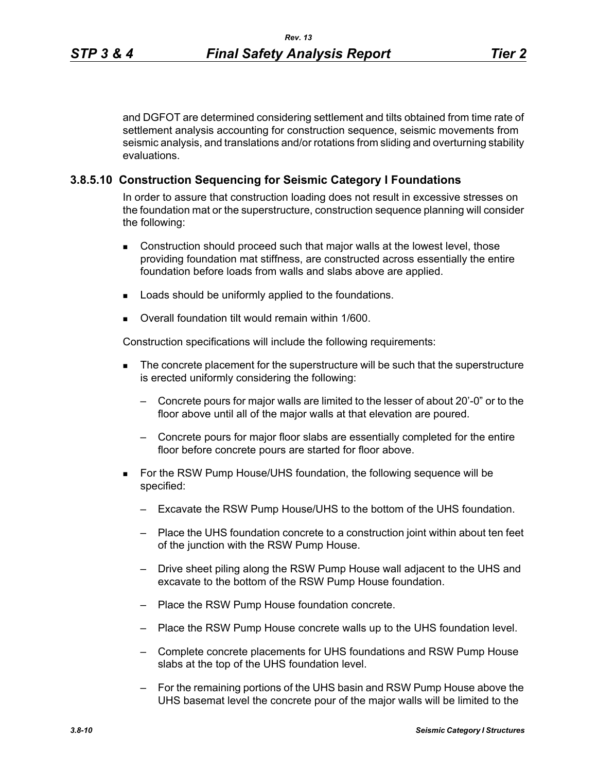and DGFOT are determined considering settlement and tilts obtained from time rate of settlement analysis accounting for construction sequence, seismic movements from seismic analysis, and translations and/or rotations from sliding and overturning stability evaluations.

### **3.8.5.10 Construction Sequencing for Seismic Category I Foundations**

In order to assure that construction loading does not result in excessive stresses on the foundation mat or the superstructure, construction sequence planning will consider the following:

- Construction should proceed such that major walls at the lowest level, those providing foundation mat stiffness, are constructed across essentially the entire foundation before loads from walls and slabs above are applied.
- **Loads should be uniformly applied to the foundations.**
- Overall foundation tilt would remain within 1/600.

Construction specifications will include the following requirements:

- The concrete placement for the superstructure will be such that the superstructure is erected uniformly considering the following:
	- Concrete pours for major walls are limited to the lesser of about 20'-0" or to the floor above until all of the major walls at that elevation are poured.
	- Concrete pours for major floor slabs are essentially completed for the entire floor before concrete pours are started for floor above.
- For the RSW Pump House/UHS foundation, the following sequence will be specified:
	- Excavate the RSW Pump House/UHS to the bottom of the UHS foundation.
	- Place the UHS foundation concrete to a construction joint within about ten feet of the junction with the RSW Pump House.
	- Drive sheet piling along the RSW Pump House wall adjacent to the UHS and excavate to the bottom of the RSW Pump House foundation.
	- Place the RSW Pump House foundation concrete.
	- Place the RSW Pump House concrete walls up to the UHS foundation level.
	- Complete concrete placements for UHS foundations and RSW Pump House slabs at the top of the UHS foundation level.
	- For the remaining portions of the UHS basin and RSW Pump House above the UHS basemat level the concrete pour of the major walls will be limited to the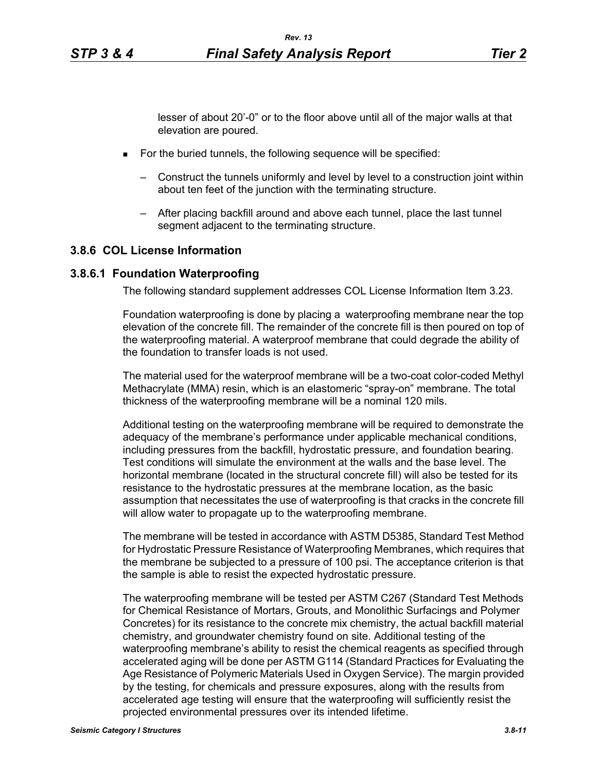lesser of about 20'-0" or to the floor above until all of the major walls at that elevation are poured.

- **For the buried tunnels, the following sequence will be specified:** 
	- Construct the tunnels uniformly and level by level to a construction joint within about ten feet of the junction with the terminating structure.
	- After placing backfill around and above each tunnel, place the last tunnel segment adjacent to the terminating structure.

#### **3.8.6 COL License Information**

### **3.8.6.1 Foundation Waterproofing**

The following standard supplement addresses COL License Information Item 3.23.

Foundation waterproofing is done by placing a waterproofing membrane near the top elevation of the concrete fill. The remainder of the concrete fill is then poured on top of the waterproofing material. A waterproof membrane that could degrade the ability of the foundation to transfer loads is not used.

The material used for the waterproof membrane will be a two-coat color-coded Methyl Methacrylate (MMA) resin, which is an elastomeric "spray-on" membrane. The total thickness of the waterproofing membrane will be a nominal 120 mils.

Additional testing on the waterproofing membrane will be required to demonstrate the adequacy of the membrane's performance under applicable mechanical conditions, including pressures from the backfill, hydrostatic pressure, and foundation bearing. Test conditions will simulate the environment at the walls and the base level. The horizontal membrane (located in the structural concrete fill) will also be tested for its resistance to the hydrostatic pressures at the membrane location, as the basic assumption that necessitates the use of waterproofing is that cracks in the concrete fill will allow water to propagate up to the waterproofing membrane.

The membrane will be tested in accordance with ASTM D5385, Standard Test Method for Hydrostatic Pressure Resistance of Waterproofing Membranes, which requires that the membrane be subjected to a pressure of 100 psi. The acceptance criterion is that the sample is able to resist the expected hydrostatic pressure.

The waterproofing membrane will be tested per ASTM C267 (Standard Test Methods for Chemical Resistance of Mortars, Grouts, and Monolithic Surfacings and Polymer Concretes) for its resistance to the concrete mix chemistry, the actual backfill material chemistry, and groundwater chemistry found on site. Additional testing of the waterproofing membrane's ability to resist the chemical reagents as specified through accelerated aging will be done per ASTM G114 (Standard Practices for Evaluating the Age Resistance of Polymeric Materials Used in Oxygen Service). The margin provided by the testing, for chemicals and pressure exposures, along with the results from accelerated age testing will ensure that the waterproofing will sufficiently resist the projected environmental pressures over its intended lifetime.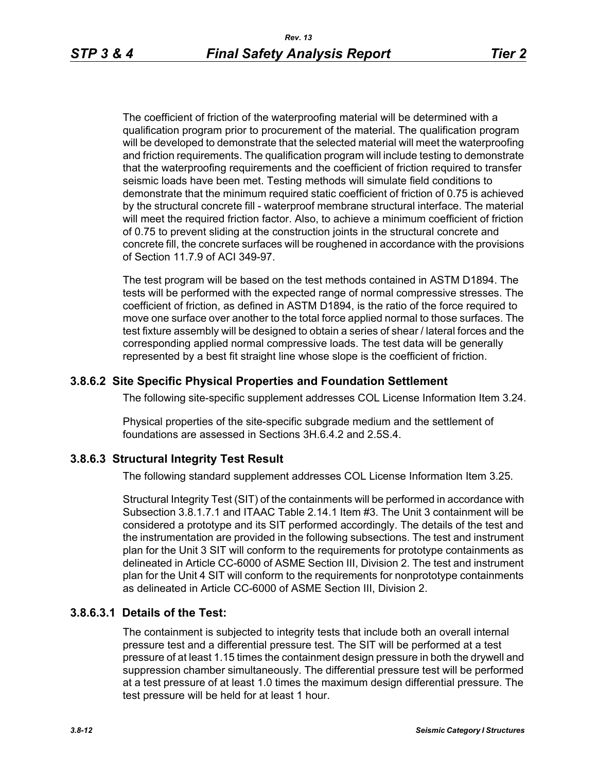The coefficient of friction of the waterproofing material will be determined with a qualification program prior to procurement of the material. The qualification program will be developed to demonstrate that the selected material will meet the waterproofing and friction requirements. The qualification program will include testing to demonstrate that the waterproofing requirements and the coefficient of friction required to transfer seismic loads have been met. Testing methods will simulate field conditions to demonstrate that the minimum required static coefficient of friction of 0.75 is achieved by the structural concrete fill - waterproof membrane structural interface. The material will meet the required friction factor. Also, to achieve a minimum coefficient of friction of 0.75 to prevent sliding at the construction joints in the structural concrete and concrete fill, the concrete surfaces will be roughened in accordance with the provisions of Section 11.7.9 of ACI 349-97.

The test program will be based on the test methods contained in ASTM D1894. The tests will be performed with the expected range of normal compressive stresses. The coefficient of friction, as defined in ASTM D1894, is the ratio of the force required to move one surface over another to the total force applied normal to those surfaces. The test fixture assembly will be designed to obtain a series of shear / lateral forces and the corresponding applied normal compressive loads. The test data will be generally represented by a best fit straight line whose slope is the coefficient of friction.

### **3.8.6.2 Site Specific Physical Properties and Foundation Settlement**

The following site-specific supplement addresses COL License Information Item 3.24.

Physical properties of the site-specific subgrade medium and the settlement of foundations are assessed in Sections 3H.6.4.2 and 2.5S.4.

### **3.8.6.3 Structural Integrity Test Result**

The following standard supplement addresses COL License Information Item 3.25.

Structural Integrity Test (SIT) of the containments will be performed in accordance with Subsection 3.8.1.7.1 and ITAAC Table 2.14.1 Item #3. The Unit 3 containment will be considered a prototype and its SIT performed accordingly. The details of the test and the instrumentation are provided in the following subsections. The test and instrument plan for the Unit 3 SIT will conform to the requirements for prototype containments as delineated in Article CC-6000 of ASME Section III, Division 2. The test and instrument plan for the Unit 4 SIT will conform to the requirements for nonprototype containments as delineated in Article CC-6000 of ASME Section III, Division 2.

### **3.8.6.3.1 Details of the Test:**

The containment is subjected to integrity tests that include both an overall internal pressure test and a differential pressure test. The SIT will be performed at a test pressure of at least 1.15 times the containment design pressure in both the drywell and suppression chamber simultaneously. The differential pressure test will be performed at a test pressure of at least 1.0 times the maximum design differential pressure. The test pressure will be held for at least 1 hour.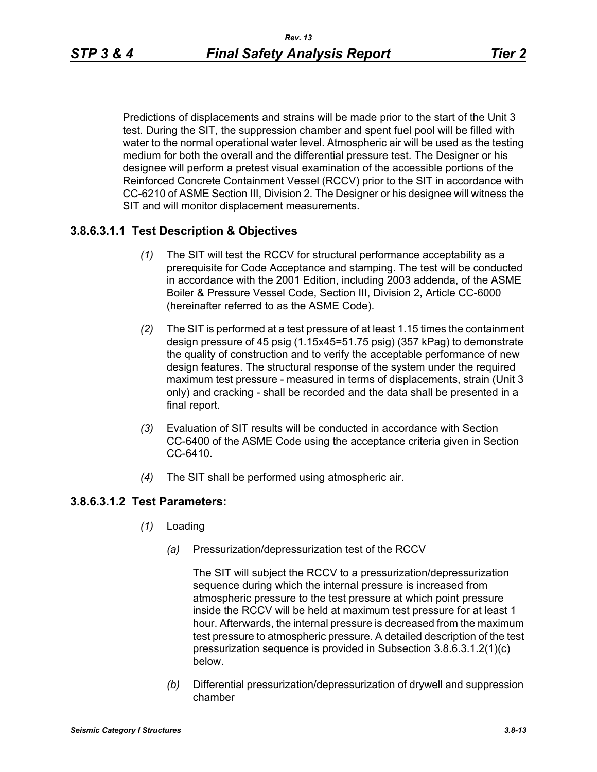Predictions of displacements and strains will be made prior to the start of the Unit 3 test. During the SIT, the suppression chamber and spent fuel pool will be filled with water to the normal operational water level. Atmospheric air will be used as the testing medium for both the overall and the differential pressure test. The Designer or his designee will perform a pretest visual examination of the accessible portions of the Reinforced Concrete Containment Vessel (RCCV) prior to the SIT in accordance with CC-6210 of ASME Section III, Division 2. The Designer or his designee will witness the SIT and will monitor displacement measurements.

### **3.8.6.3.1.1 Test Description & Objectives**

- *(1)* The SIT will test the RCCV for structural performance acceptability as a prerequisite for Code Acceptance and stamping. The test will be conducted in accordance with the 2001 Edition, including 2003 addenda, of the ASME Boiler & Pressure Vessel Code, Section III, Division 2, Article CC-6000 (hereinafter referred to as the ASME Code).
- *(2)* The SIT is performed at a test pressure of at least 1.15 times the containment design pressure of 45 psig (1.15x45=51.75 psig) (357 kPag) to demonstrate the quality of construction and to verify the acceptable performance of new design features. The structural response of the system under the required maximum test pressure - measured in terms of displacements, strain (Unit 3 only) and cracking - shall be recorded and the data shall be presented in a final report.
- *(3)* Evaluation of SIT results will be conducted in accordance with Section CC-6400 of the ASME Code using the acceptance criteria given in Section CC-6410.
- *(4)* The SIT shall be performed using atmospheric air.

### **3.8.6.3.1.2 Test Parameters:**

- *(1)* Loading
	- *(a)* Pressurization/depressurization test of the RCCV

The SIT will subject the RCCV to a pressurization/depressurization sequence during which the internal pressure is increased from atmospheric pressure to the test pressure at which point pressure inside the RCCV will be held at maximum test pressure for at least 1 hour. Afterwards, the internal pressure is decreased from the maximum test pressure to atmospheric pressure. A detailed description of the test pressurization sequence is provided in Subsection 3.8.6.3.1.2(1)(c) below.

*(b)* Differential pressurization/depressurization of drywell and suppression chamber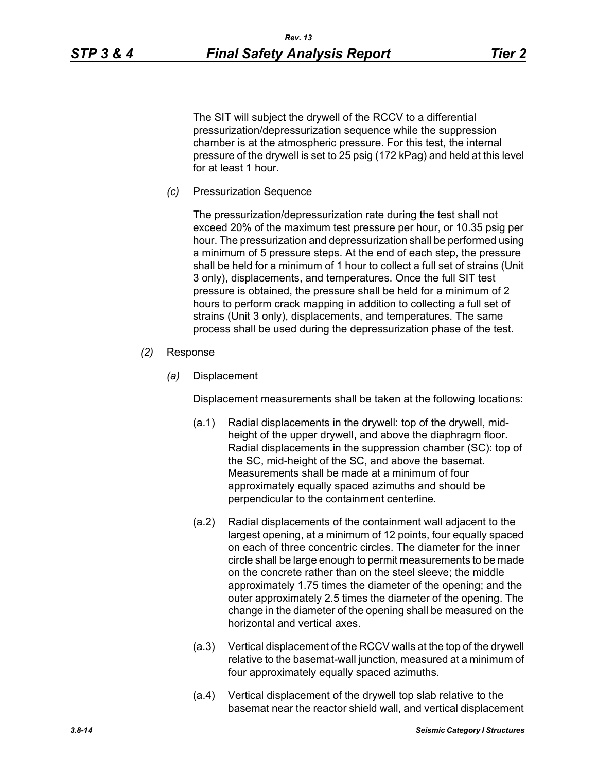The SIT will subject the drywell of the RCCV to a differential pressurization/depressurization sequence while the suppression chamber is at the atmospheric pressure. For this test, the internal pressure of the drywell is set to 25 psig (172 kPag) and held at this level for at least 1 hour.

*(c)* Pressurization Sequence

The pressurization/depressurization rate during the test shall not exceed 20% of the maximum test pressure per hour, or 10.35 psig per hour. The pressurization and depressurization shall be performed using a minimum of 5 pressure steps. At the end of each step, the pressure shall be held for a minimum of 1 hour to collect a full set of strains (Unit 3 only), displacements, and temperatures. Once the full SIT test pressure is obtained, the pressure shall be held for a minimum of 2 hours to perform crack mapping in addition to collecting a full set of strains (Unit 3 only), displacements, and temperatures. The same process shall be used during the depressurization phase of the test.

- *(2)* Response
	- *(a)* Displacement

Displacement measurements shall be taken at the following locations:

- (a.1) Radial displacements in the drywell: top of the drywell, midheight of the upper drywell, and above the diaphragm floor. Radial displacements in the suppression chamber (SC): top of the SC, mid-height of the SC, and above the basemat. Measurements shall be made at a minimum of four approximately equally spaced azimuths and should be perpendicular to the containment centerline.
- (a.2) Radial displacements of the containment wall adjacent to the largest opening, at a minimum of 12 points, four equally spaced on each of three concentric circles. The diameter for the inner circle shall be large enough to permit measurements to be made on the concrete rather than on the steel sleeve; the middle approximately 1.75 times the diameter of the opening; and the outer approximately 2.5 times the diameter of the opening. The change in the diameter of the opening shall be measured on the horizontal and vertical axes.
- (a.3) Vertical displacement of the RCCV walls at the top of the drywell relative to the basemat-wall junction, measured at a minimum of four approximately equally spaced azimuths.
- (a.4) Vertical displacement of the drywell top slab relative to the basemat near the reactor shield wall, and vertical displacement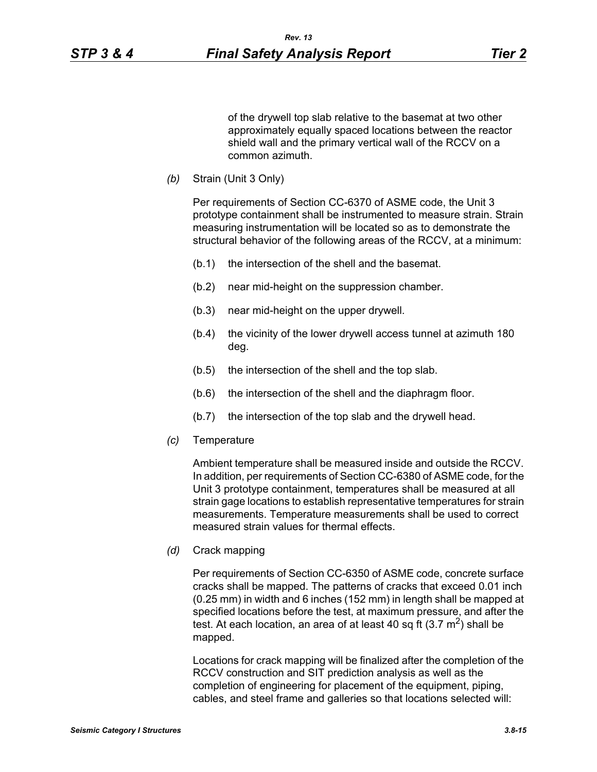of the drywell top slab relative to the basemat at two other approximately equally spaced locations between the reactor shield wall and the primary vertical wall of the RCCV on a common azimuth.

*(b)* Strain (Unit 3 Only)

Per requirements of Section CC-6370 of ASME code, the Unit 3 prototype containment shall be instrumented to measure strain. Strain measuring instrumentation will be located so as to demonstrate the structural behavior of the following areas of the RCCV, at a minimum:

- (b.1) the intersection of the shell and the basemat.
- (b.2) near mid-height on the suppression chamber.
- (b.3) near mid-height on the upper drywell.
- (b.4) the vicinity of the lower drywell access tunnel at azimuth 180 deg.
- (b.5) the intersection of the shell and the top slab.
- (b.6) the intersection of the shell and the diaphragm floor.
- (b.7) the intersection of the top slab and the drywell head.
- *(c)* Temperature

Ambient temperature shall be measured inside and outside the RCCV. In addition, per requirements of Section CC-6380 of ASME code, for the Unit 3 prototype containment, temperatures shall be measured at all strain gage locations to establish representative temperatures for strain measurements. Temperature measurements shall be used to correct measured strain values for thermal effects.

*(d)* Crack mapping

Per requirements of Section CC-6350 of ASME code, concrete surface cracks shall be mapped. The patterns of cracks that exceed 0.01 inch (0.25 mm) in width and 6 inches (152 mm) in length shall be mapped at specified locations before the test, at maximum pressure, and after the test. At each location, an area of at least 40 sq ft  $(3.7 \text{ m}^2)$  shall be mapped.

Locations for crack mapping will be finalized after the completion of the RCCV construction and SIT prediction analysis as well as the completion of engineering for placement of the equipment, piping, cables, and steel frame and galleries so that locations selected will: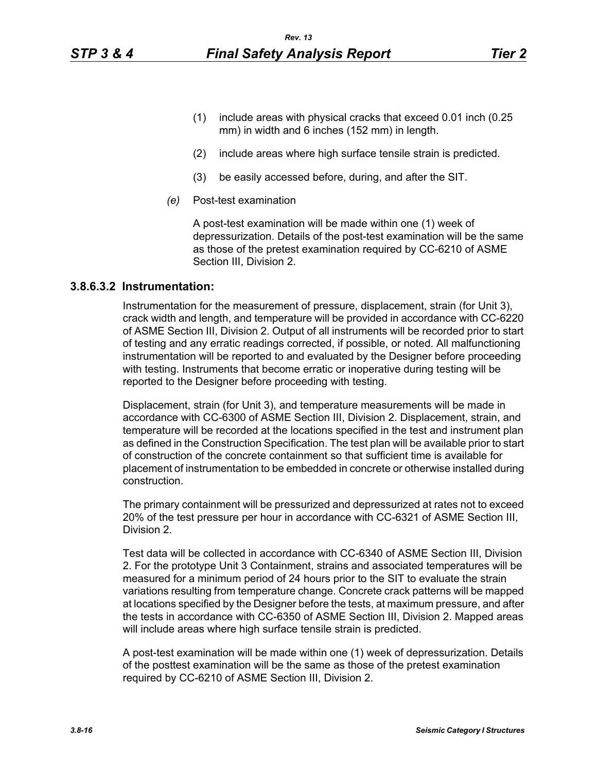- (2) include areas where high surface tensile strain is predicted.
- (3) be easily accessed before, during, and after the SIT.
- *(e)* Post-test examination

A post-test examination will be made within one (1) week of depressurization. Details of the post-test examination will be the same as those of the pretest examination required by CC-6210 of ASME Section III, Division 2.

### **3.8.6.3.2 Instrumentation:**

Instrumentation for the measurement of pressure, displacement, strain (for Unit 3), crack width and length, and temperature will be provided in accordance with CC-6220 of ASME Section III, Division 2. Output of all instruments will be recorded prior to start of testing and any erratic readings corrected, if possible, or noted. All malfunctioning instrumentation will be reported to and evaluated by the Designer before proceeding with testing. Instruments that become erratic or inoperative during testing will be reported to the Designer before proceeding with testing.

Displacement, strain (for Unit 3), and temperature measurements will be made in accordance with CC-6300 of ASME Section III, Division 2. Displacement, strain, and temperature will be recorded at the locations specified in the test and instrument plan as defined in the Construction Specification. The test plan will be available prior to start of construction of the concrete containment so that sufficient time is available for placement of instrumentation to be embedded in concrete or otherwise installed during construction.

The primary containment will be pressurized and depressurized at rates not to exceed 20% of the test pressure per hour in accordance with CC-6321 of ASME Section III, Division 2.

Test data will be collected in accordance with CC-6340 of ASME Section III, Division 2. For the prototype Unit 3 Containment, strains and associated temperatures will be measured for a minimum period of 24 hours prior to the SIT to evaluate the strain variations resulting from temperature change. Concrete crack patterns will be mapped at locations specified by the Designer before the tests, at maximum pressure, and after the tests in accordance with CC-6350 of ASME Section III, Division 2. Mapped areas will include areas where high surface tensile strain is predicted.

A post-test examination will be made within one (1) week of depressurization. Details of the posttest examination will be the same as those of the pretest examination required by CC-6210 of ASME Section III, Division 2.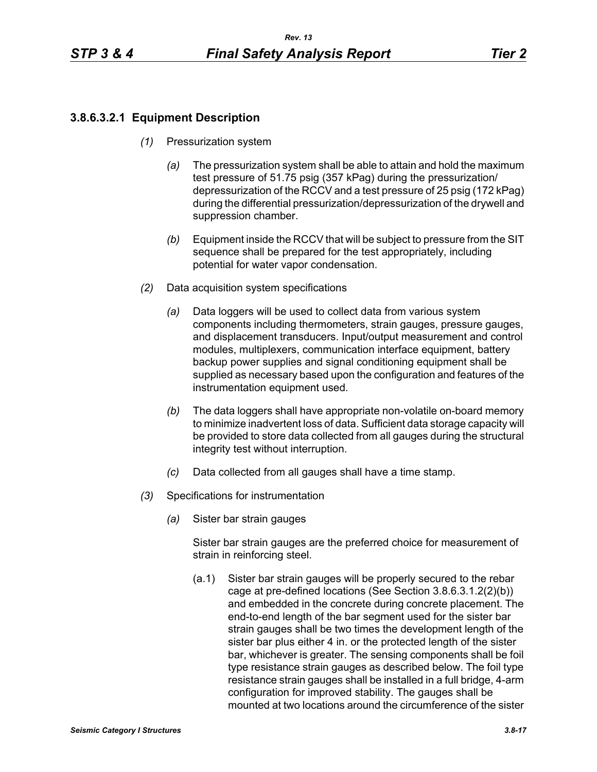# **3.8.6.3.2.1 Equipment Description**

- *(1)* Pressurization system
	- *(a)* The pressurization system shall be able to attain and hold the maximum test pressure of 51.75 psig (357 kPag) during the pressurization/ depressurization of the RCCV and a test pressure of 25 psig (172 kPag) during the differential pressurization/depressurization of the drywell and suppression chamber.
	- *(b)* Equipment inside the RCCV that will be subject to pressure from the SIT sequence shall be prepared for the test appropriately, including potential for water vapor condensation.
- *(2)* Data acquisition system specifications
	- *(a)* Data loggers will be used to collect data from various system components including thermometers, strain gauges, pressure gauges, and displacement transducers. Input/output measurement and control modules, multiplexers, communication interface equipment, battery backup power supplies and signal conditioning equipment shall be supplied as necessary based upon the configuration and features of the instrumentation equipment used.
	- *(b)* The data loggers shall have appropriate non-volatile on-board memory to minimize inadvertent loss of data. Sufficient data storage capacity will be provided to store data collected from all gauges during the structural integrity test without interruption.
	- *(c)* Data collected from all gauges shall have a time stamp.
- *(3)* Specifications for instrumentation
	- *(a)* Sister bar strain gauges

Sister bar strain gauges are the preferred choice for measurement of strain in reinforcing steel.

(a.1) Sister bar strain gauges will be properly secured to the rebar cage at pre-defined locations (See Section 3.8.6.3.1.2(2)(b)) and embedded in the concrete during concrete placement. The end-to-end length of the bar segment used for the sister bar strain gauges shall be two times the development length of the sister bar plus either 4 in. or the protected length of the sister bar, whichever is greater. The sensing components shall be foil type resistance strain gauges as described below. The foil type resistance strain gauges shall be installed in a full bridge, 4-arm configuration for improved stability. The gauges shall be mounted at two locations around the circumference of the sister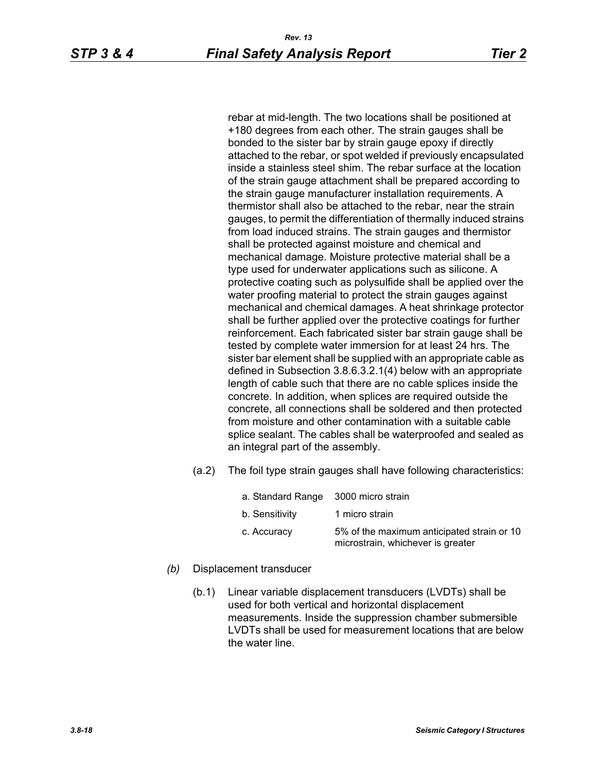rebar at mid-length. The two locations shall be positioned at +180 degrees from each other. The strain gauges shall be bonded to the sister bar by strain gauge epoxy if directly attached to the rebar, or spot welded if previously encapsulated inside a stainless steel shim. The rebar surface at the location of the strain gauge attachment shall be prepared according to the strain gauge manufacturer installation requirements. A thermistor shall also be attached to the rebar, near the strain gauges, to permit the differentiation of thermally induced strains from load induced strains. The strain gauges and thermistor shall be protected against moisture and chemical and mechanical damage. Moisture protective material shall be a type used for underwater applications such as silicone. A protective coating such as polysulfide shall be applied over the water proofing material to protect the strain gauges against mechanical and chemical damages. A heat shrinkage protector shall be further applied over the protective coatings for further reinforcement. Each fabricated sister bar strain gauge shall be tested by complete water immersion for at least 24 hrs. The sister bar element shall be supplied with an appropriate cable as defined in Subsection 3.8.6.3.2.1(4) below with an appropriate length of cable such that there are no cable splices inside the concrete. In addition, when splices are required outside the concrete, all connections shall be soldered and then protected from moisture and other contamination with a suitable cable splice sealant. The cables shall be waterproofed and sealed as an integral part of the assembly.

(a.2) The foil type strain gauges shall have following characteristics:

| a. Standard Range 3000 micro strain |                                                                                 |
|-------------------------------------|---------------------------------------------------------------------------------|
| b. Sensitivity                      | 1 micro strain                                                                  |
| c. Accuracy                         | 5% of the maximum anticipated strain or 10<br>microstrain, whichever is greater |

- *(b)* Displacement transducer
	- (b.1) Linear variable displacement transducers (LVDTs) shall be used for both vertical and horizontal displacement measurements. Inside the suppression chamber submersible LVDTs shall be used for measurement locations that are below the water line.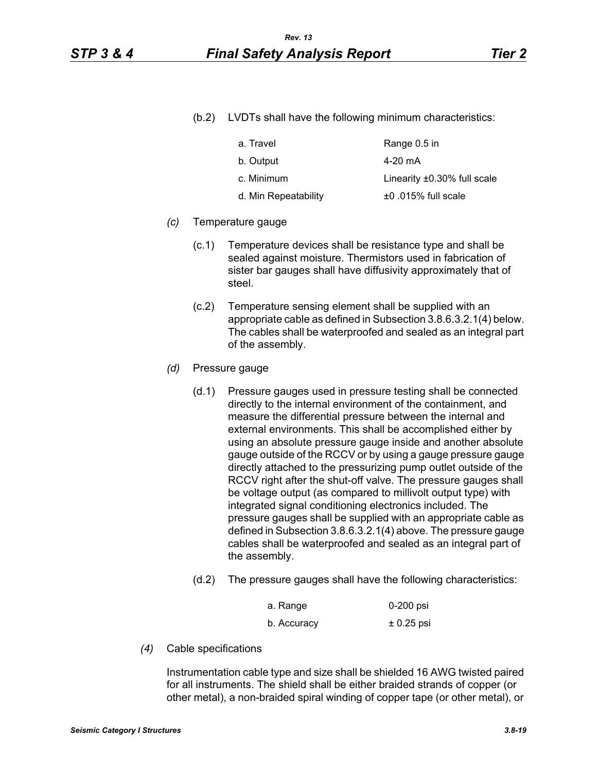(b.2) LVDTs shall have the following minimum characteristics:

| a. Travel            | Range 0.5 in                      |
|----------------------|-----------------------------------|
| b. Output            | 4-20 mA                           |
| c. Minimum           | Linearity $\pm 0.30\%$ full scale |
| d. Min Repeatability | $±0.015\%$ full scale             |

#### *(c)* Temperature gauge

- (c.1) Temperature devices shall be resistance type and shall be sealed against moisture. Thermistors used in fabrication of sister bar gauges shall have diffusivity approximately that of steel.
- (c.2) Temperature sensing element shall be supplied with an appropriate cable as defined in Subsection 3.8.6.3.2.1(4) below. The cables shall be waterproofed and sealed as an integral part of the assembly.
- *(d)* Pressure gauge
	- (d.1) Pressure gauges used in pressure testing shall be connected directly to the internal environment of the containment, and measure the differential pressure between the internal and external environments. This shall be accomplished either by using an absolute pressure gauge inside and another absolute gauge outside of the RCCV or by using a gauge pressure gauge directly attached to the pressurizing pump outlet outside of the RCCV right after the shut-off valve. The pressure gauges shall be voltage output (as compared to millivolt output type) with integrated signal conditioning electronics included. The pressure gauges shall be supplied with an appropriate cable as defined in Subsection 3.8.6.3.2.1(4) above. The pressure gauge cables shall be waterproofed and sealed as an integral part of the assembly.
	- (d.2) The pressure gauges shall have the following characteristics:

| a. Range    | 0-200 psi    |
|-------------|--------------|
| b. Accuracy | $± 0.25$ psi |

*(4)* Cable specifications

Instrumentation cable type and size shall be shielded 16 AWG twisted paired for all instruments. The shield shall be either braided strands of copper (or other metal), a non-braided spiral winding of copper tape (or other metal), or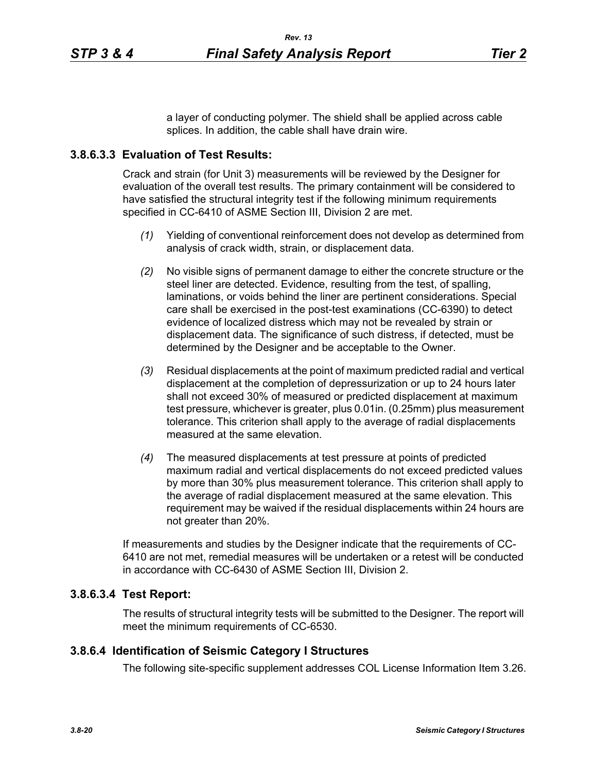a layer of conducting polymer. The shield shall be applied across cable splices. In addition, the cable shall have drain wire.

### **3.8.6.3.3 Evaluation of Test Results:**

Crack and strain (for Unit 3) measurements will be reviewed by the Designer for evaluation of the overall test results. The primary containment will be considered to have satisfied the structural integrity test if the following minimum requirements specified in CC-6410 of ASME Section III, Division 2 are met.

- *(1)* Yielding of conventional reinforcement does not develop as determined from analysis of crack width, strain, or displacement data.
- *(2)* No visible signs of permanent damage to either the concrete structure or the steel liner are detected. Evidence, resulting from the test, of spalling, laminations, or voids behind the liner are pertinent considerations. Special care shall be exercised in the post-test examinations (CC-6390) to detect evidence of localized distress which may not be revealed by strain or displacement data. The significance of such distress, if detected, must be determined by the Designer and be acceptable to the Owner.
- *(3)* Residual displacements at the point of maximum predicted radial and vertical displacement at the completion of depressurization or up to 24 hours later shall not exceed 30% of measured or predicted displacement at maximum test pressure, whichever is greater, plus 0.01in. (0.25mm) plus measurement tolerance. This criterion shall apply to the average of radial displacements measured at the same elevation.
- *(4)* The measured displacements at test pressure at points of predicted maximum radial and vertical displacements do not exceed predicted values by more than 30% plus measurement tolerance. This criterion shall apply to the average of radial displacement measured at the same elevation. This requirement may be waived if the residual displacements within 24 hours are not greater than 20%.

If measurements and studies by the Designer indicate that the requirements of CC-6410 are not met, remedial measures will be undertaken or a retest will be conducted in accordance with CC-6430 of ASME Section III, Division 2.

### **3.8.6.3.4 Test Report:**

The results of structural integrity tests will be submitted to the Designer. The report will meet the minimum requirements of CC-6530.

#### **3.8.6.4 Identification of Seismic Category I Structures**

The following site-specific supplement addresses COL License Information Item 3.26.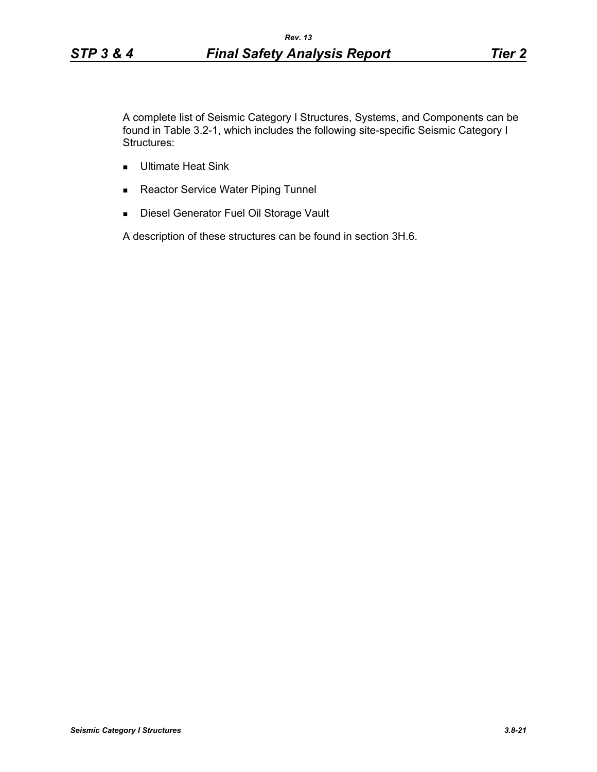A complete list of Seismic Category I Structures, Systems, and Components can be found in Table 3.2-1, which includes the following site-specific Seismic Category I Structures:

- **Ultimate Heat Sink**
- Reactor Service Water Piping Tunnel
- **Diesel Generator Fuel Oil Storage Vault**

A description of these structures can be found in section 3H.6.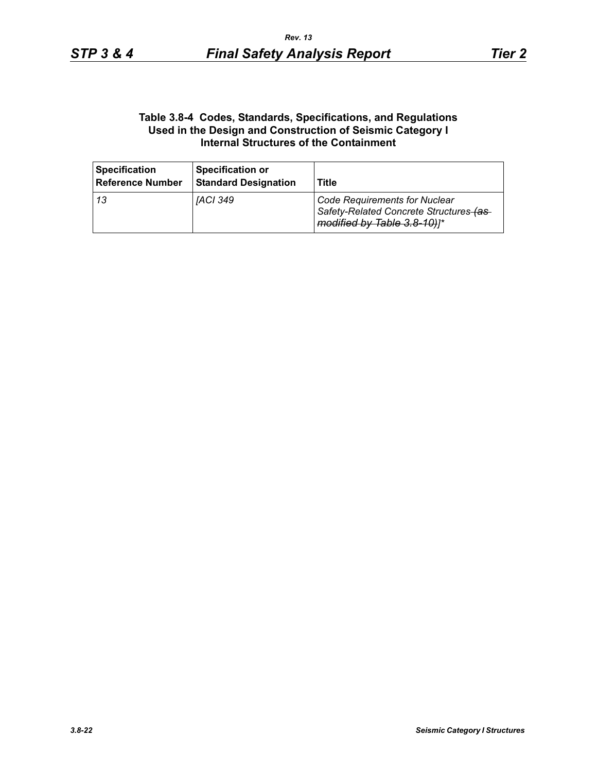### **Table 3.8-4 Codes, Standards, Specifications, and Regulations Used in the Design and Construction of Seismic Category I Internal Structures of the Containment**

| <b>Specification</b><br><b>Reference Number</b> | <b>Specification or</b><br><b>Standard Designation</b> | Title                                                                                                          |
|-------------------------------------------------|--------------------------------------------------------|----------------------------------------------------------------------------------------------------------------|
| l 13                                            | IACI 349                                               | <b>Code Requirements for Nuclear</b><br>Safety-Related Concrete Structures-(as-<br>modified by Table 3.8-10)]* |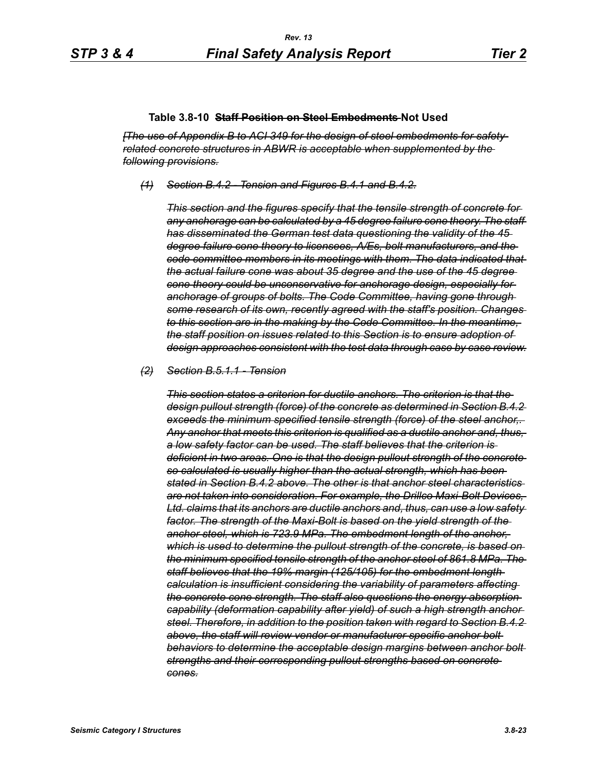#### **Table 3.8-10 Staff Position on Steel Embedments Not Used**

*[The use of Appendix B to ACI 349 for the design of steel embedments for safetyrelated concrete structures in ABWR is acceptable when supplemented by the following provisions.*

*(1) Section B.4.2 - Tension and Figures B.4.1 and B.4.2.*

*This section and the figures specify that the tensile strength of concrete for any anchorage can be calculated by a 45 degree failure cone theory. The staff has disseminated the German test data questioning the validity of the 45 degree failure cone theory to licensees, A/Es, bolt manufacturers, and the code committee members in its meetings with them. The data indicated that the actual failure cone was about 35 degree and the use of the 45 degree cone theory could be unconservative for anchorage design, especially for anchorage of groups of bolts. The Code Committee, having gone through some research of its own, recently agreed with the staff's position. Changes to this section are in the making by the Code Committee. In the meantime, the staff position on issues related to this Section is to ensure adoption of design approaches consistent with the test data through case by case review.*

#### *(2) Section B.5.1.1 - Tension*

*This section states a criterion for ductile anchors. The criterion is that the design pullout strength (force) of the concrete as determined in Section B.4.2 exceeds the minimum specified tensile strength (force) of the steel anchor,. Any anchor that meets this criterion is qualified as a ductile anchor and, thus, a low safety factor can be used. The staff believes that the criterion is deficient in two areas. One is that the design pullout strength of the concrete so calculated is usually higher than the actual strength, which has been stated in Section B.4.2 above. The other is that anchor steel characteristics are not taken into consideration. For example, the Drillco Maxi-Bolt Devices, Ltd. claims that its anchors are ductile anchors and, thus, can use a low safety factor. The strength of the Maxi-Bolt is based on the yield strength of the anchor steel, which is 723.9 MPa. The embedment length of the anchor, which is used to determine the pullout strength of the concrete, is based on the minimum specified tensile strength of the anchor steel of 861.8 MPa. The staff believes that the 19% margin (125/105) for the embedment length calculation is insufficient considering the variability of parameters affecting the concrete cone strength. The staff also questions the energy absorption capability (deformation capability after yield) of such a high strength anchor steel. Therefore, in addition to the position taken with regard to Section B.4.2 above, the staff will review vendor or manufacturer specific anchor bolt behaviors to determine the acceptable design margins between anchor bolt strengths and their corresponding pullout strengths based on concrete cones.*